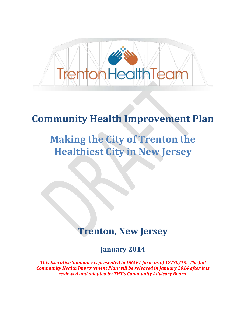

### **Community Health Improvement Plan**

# **Making the City of Trenton the Healthiest City in New Jersey**

## **Trenton, New Jersey**

**January 2014**

*This Executive Summary is presented in DRAFT form as of 12/30/13. The full Community Health Improvement Plan will be released in January 2014 after it is reviewed and adopted by THT's Community Advisory Board.*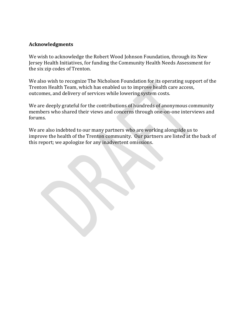#### **Acknowledgments**

We wish to acknowledge the Robert Wood Johnson Foundation, through its New Jersey Health Initiatives, for funding the Community Health Needs Assessment for the six zip codes of Trenton.

We also wish to recognize The Nicholson Foundation for its operating support of the Trenton Health Team, which has enabled us to improve health care access, outcomes, and delivery of services while lowering system costs.

We are deeply grateful for the contributions of hundreds of anonymous community members who shared their views and concerns through one-on-one interviews and forums.

We are also indebted to our many partners who are working alongside us to improve the health of the Trenton community. Our partners are listed at the back of this report; we apologize for any inadvertent omissions.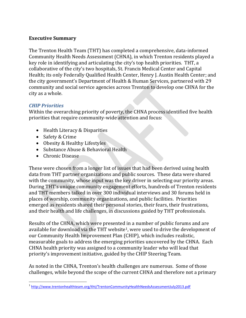#### **Executive Summary**

The Trenton Health Team (THT) has completed a comprehensive, data-informed Community Health Needs Assessment (CHNA), in which Trenton residents played a key role in identifying and articulating the city's top health priorities. THT, a collaborative of the city's two hospitals, St. Francis Medical Center and Capital Health; its only Federally Qualified Health Center, Henry J. Austin Health Center; and the city government's Department of Health & Human Services, partnered with 29 community and social service agencies across Trenton to develop one CHNA for the city as a whole.

#### *CHIP Priorities*

Within the overarching priority of poverty, the CHNA process identified five health priorities that require community-wide attention and focus:

- Health Literacy & Disparities
- Safety & Crime
- Obesity & Healthy Lifestyles
- Substance Abuse & Behavioral Health
- Chronic Disease

These were chosen from a longer list of issues that had been derived using health data from THT partner organizations and public sources. These data were shared with the community, whose input was the key driver in selecting our priority areas. During THT's unique community engagement efforts, hundreds of Trenton residents and THT members talked in over 300 individual interviews and 30 forums held in places of worship, community organizations, and public facilities. Priorities emerged as residents shared their personal stories, their fears, their frustrations, and their health and life challenges, in discussions guided by THT professionals.

Results of the CHNA, which were presented in a number of public forums and are available for download via the THT website<sup>1</sup>, were used to drive the development of our Community Health Improvement Plan (CHIP), which includes realistic, measurable goals to address the emerging priorities uncovered by the CHNA. Each CHNA health priority was assigned to a community leader who will lead that priority's improvement initiative, guided by the CHIP Steering Team.

As noted in the CHNA, Trenton's health challenges are numerous. Some of those challenges, while beyond the scope of the current CHNA and therefore not a primary

 $\overline{a}$ <sup>1</sup> <http://www.trentonhealthteam.org/tht/TrentonCommunityHealthNeedsAssessmentJuly2013.pdf>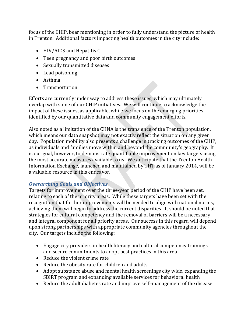focus of the CHIP, bear mentioning in order to fully understand the picture of health in Trenton. Additional factors impacting health outcomes in the city include:

- HIV/AIDS and Hepatitis C
- Teen pregnancy and poor birth outcomes
- Sexually transmitted diseases
- Lead poisoning
- Asthma
- Transportation

Efforts are currently under way to address these issues, which may ultimately overlap with some of our CHIP initiatives. We will continue to acknowledge the impact of these issues, as applicable, while we focus on the emerging priorities identified by our quantitative data and community engagement efforts.

Also noted as a limitation of the CHNA is the transience of the Trenton population, which means our data snapshot may not exactly reflect the situation on any given day. Population mobility also presents a challenge in tracking outcomes of the CHIP, as individuals and families move within and beyond the community's geography. It is our goal, however, to demonstrate quantifiable improvement on key targets using the most accurate measures available to us. We anticipate that the Trenton Health Information Exchange, launched and maintained by THT as of January 2014, will be a valuable resource in this endeavor.

#### *Overarching Goals and Objectives*

Targets for improvement over the three-year period of the CHIP have been set, relating to each of the priority areas. While these targets have been set with the recognition that further improvements will be needed to align with national norms, achieving them will begin to address the current disparities. It should be noted that strategies for cultural competency and the removal of barriers will be a necessary and integral component for all priority areas. Our success in this regard will depend upon strong partnerships with appropriate community agencies throughout the city. Our targets include the following:

- Engage city providers in health literacy and cultural competency trainings and secure commitments to adopt best practices in this area
- Reduce the violent crime rate
- Reduce the obesity rate for children and adults
- Adopt substance abuse and mental health screenings city wide, expanding the SBIRT program and expanding available services for behavioral health
- Reduce the adult diabetes rate and improve self–management of the disease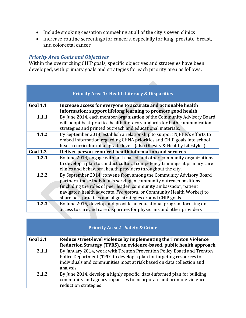- Include smoking cessation counseling at all of the city's seven clinics
- Increase routine screenings for cancers, especially for lung, prostate, breast, and colorectal cancer

#### *Priority Area Goals and Objectives*

Within the overarching CHIP goals, specific objectives and strategies have been developed, with primary goals and strategies for each priority area as follows:

|                 | <b>Priority Area 1: Health Literacy &amp; Disparities</b>                                                                                                                                                                                                                                                                                                        |
|-----------------|------------------------------------------------------------------------------------------------------------------------------------------------------------------------------------------------------------------------------------------------------------------------------------------------------------------------------------------------------------------|
| <b>Goal 1.1</b> | Increase access for everyone to accurate and actionable health<br>information; support lifelong learning to promote good health                                                                                                                                                                                                                                  |
| 1.1.1           | By June 2014, each member organization of the Community Advisory Board<br>will adopt best-practice health literacy standards for both communication<br>strategies and printed outreach and educational materials.                                                                                                                                                |
| 1.1.2           | By September 2014, establish a relationship to support NJPHK's efforts to<br>embed information regarding CHNA priorities and CHIP goals into school<br>health curriculum at all grade levels (also Obesity & Healthy Lifestyles).                                                                                                                                |
| <b>Goal 1.2</b> | Deliver person-centered health information and services                                                                                                                                                                                                                                                                                                          |
| 1.2.1           | By June 2014, engage with faith-based and other community organizations<br>to develop a plan to conduct cultural competency trainings at primary care<br>clinics and behavioral health providers throughout the city.                                                                                                                                            |
| 1.2.2           | By September 2014, convene from among the Community Advisory Board<br>partners, those individuals serving in community outreach positions<br>(including the roles of peer leader, community ambassador, patient<br>navigator, health advocate, <i>Promotora</i> , or Community Health Worker) to<br>share best practices and align strategies around CHIP goals. |
| 1.2.3           | By June 2015, develop and provide an educational program focusing on<br>access to care and care disparities for physicians and other providers                                                                                                                                                                                                                   |

| Goal 2.1 | Reduce street-level violence by implementing the Trenton Violence<br>Reduction Strategy (TVRS), an evidence-based, public health approach                                                                                           |
|----------|-------------------------------------------------------------------------------------------------------------------------------------------------------------------------------------------------------------------------------------|
| 2.1.1    | By January 2014, work with Trenton Prevention Policy Board and Trenton<br>Police Department (TPD) to develop a plan for targeting resources to<br>individuals and communities most at risk based on data collection and<br>analysis |
| 2.1.2    | By June 2014, develop a highly specific, data-informed plan for building<br>community and agency capacities to incorporate and promote violence<br>reduction strategies                                                             |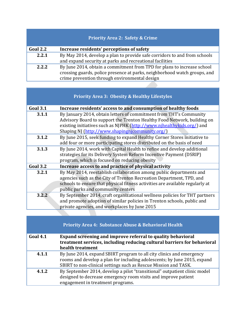### **Priority Area 2: Safety & Crime**

| Goal 2.2 | Increase residents' perceptions of safety                                 |
|----------|---------------------------------------------------------------------------|
| 2.2.1    | By May 2014, develop a plan to provide safe corridors to and from schools |
|          | and expand security at parks and recreational facilities                  |
| 2.2.2    | By June 2014, obtain a commitment from TPD for plans to increase school   |
|          | crossing guards, police presence at parks, neighborhood watch groups, and |
|          | crime prevention through environmental design                             |

| <b>Priority Area 3: Obesity &amp; Healthy Lifestyles</b> |                                                                                                                                                                                                                                                                            |
|----------------------------------------------------------|----------------------------------------------------------------------------------------------------------------------------------------------------------------------------------------------------------------------------------------------------------------------------|
| <b>Goal 3.1</b>                                          | Increase residents' access to and consumption of healthy foods                                                                                                                                                                                                             |
| 3.1.1                                                    | By January 2014, obtain letters of commitment from THT's Community<br>Advisory Board to support the Trenton Healthy Food Network, building on<br>existing initiatives such as NJPHK (http://www.njhealthykids.org/) and<br>Shaping NJ (http://www.shapingnjcommunity.org/) |
| 3.1.2                                                    | By June 2015, seek funding to expand Healthy Corner Stores initiative to<br>add four or more participating stores distributed on the basis of need                                                                                                                         |
| 3.1.3                                                    | By June 2014, work with Capital Health to refine and develop additional<br>strategies for its Delivery System Reform Incentive Payment (DSRIP)<br>program, which is focused on reducing obesity                                                                            |
| <b>Goal 3.2</b>                                          | Increase access to and practice of physical activity                                                                                                                                                                                                                       |
| 3.2.1                                                    | By May 2014, reestablish collaboration among public departments and<br>agencies such as the City of Trenton Recreation Department, TPD, and<br>schools to ensure that physical fitness activities are available regularly at<br>public parks and community centers         |
| 3.2.2                                                    | By September 2014, craft organizational wellness policies for THT partners<br>and promote adoption of similar policies in Trenton schools, public and<br>private agencies, and workplaces by June 2015                                                                     |

|                 | <b>Priority Area 4: Substance Abuse &amp; Behavioral Health</b>                                                                        |
|-----------------|----------------------------------------------------------------------------------------------------------------------------------------|
| <b>Goal 4.1</b> | Expand screening and improve referral to quality behavioral<br>treatment services, including reducing cultural barriers for behavioral |
|                 | health treatment                                                                                                                       |
| 4.1.1           | By June 2014, expand SBIRT program to all city clinics and emergency                                                                   |
|                 | rooms and develop a plan for including adolescents; by June 2015, expand                                                               |
|                 | SBIRT to non-clinical settings such as Rescue Mission and TASK.                                                                        |
| 4.1.2           | By September 2014, develop a pilot "transitional" outpatient clinic model                                                              |
|                 | designed to decrease emergency room visits and improve patient                                                                         |
|                 | engagement in treatment programs.                                                                                                      |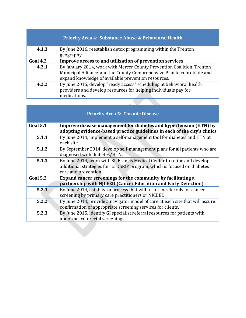|                 | <b>Priority Area 4: Substance Abuse &amp; Behavioral Health</b>                                                                                                                                          |
|-----------------|----------------------------------------------------------------------------------------------------------------------------------------------------------------------------------------------------------|
| 4.1.3           | By June 2016, reestablish detox programming within the Trenton<br>geography.                                                                                                                             |
| <b>Goal 4.2</b> | Improve access to and utilization of prevention services                                                                                                                                                 |
| 4.2.1           | By January 2014, work with Mercer County Prevention Coalition, Trenton<br>Municipal Alliance, and the County Comprehensive Plan to coordinate and<br>expand knowledge of available prevention resources. |
| 4.2.2           | By June 2015, develop "ready access" scheduling at behavioral health<br>providers and develop resources for helping individuals pay for<br>medications.                                                  |

| <b>Priority Area 5: Chronic Disease</b> |                                                                                                                                                                               |
|-----------------------------------------|-------------------------------------------------------------------------------------------------------------------------------------------------------------------------------|
| <b>Goal 5.1</b>                         | Improve disease management for diabetes and hypertension (HTN) by<br>adopting evidence-based practice guidelines in each of the city's clinics                                |
| 5.1.1                                   | By June 2014, implement a self-management tool for diabetes and HTN at<br>each site.                                                                                          |
| 5.1.2                                   | By September 2014, develop self-management plans for all patients who are<br>diagnosed with diabetes/HTN.                                                                     |
| 5.1.3                                   | By June 2014, work with St. Francis Medical Center to refine and develop<br>additional strategies for its DSRIP program, which is focused on diabetes<br>care and prevention. |
| <b>Goal 5.2</b>                         | Expand cancer screenings for the community by facilitating a                                                                                                                  |
|                                         | partnership with NJCEED (Cancer Education and Early Detection)                                                                                                                |
| 5.2.1                                   | By June 2014, establish a process that will result in referrals for cancer                                                                                                    |
|                                         | screening by primary care practitioners or NJCEED.                                                                                                                            |
| 5.2.2                                   | By June 2014, provide a navigator model of care at each site that will assure                                                                                                 |
|                                         | confirmation of appropriate screening services for clients.                                                                                                                   |
| 5.2.3                                   | By June 2015, identify GI specialist referral resources for patients with                                                                                                     |
|                                         | abnormal colorectal screenings.                                                                                                                                               |